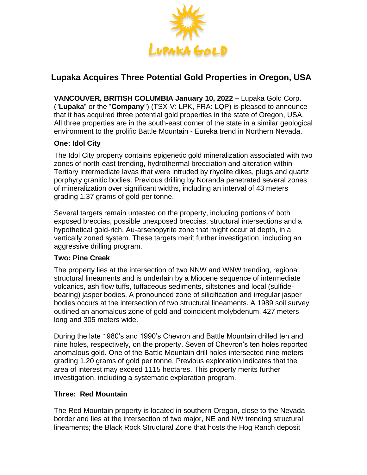

# **Lupaka Acquires Three Potential Gold Properties in Oregon, USA**

**VANCOUVER, BRITISH COLUMBIA January 10, 2022 –** Lupaka Gold Corp. ("**Lupaka**" or the "**Company**") (TSX-V: LPK, FRA: LQP) is pleased to announce that it has acquired three potential gold properties in the state of Oregon, USA. All three properties are in the south-east corner of the state in a similar geological environment to the prolific Battle Mountain - Eureka trend in Northern Nevada.

## **One: Idol City**

The Idol City property contains epigenetic gold mineralization associated with two zones of north-east trending, hydrothermal brecciation and alteration within Tertiary intermediate lavas that were intruded by rhyolite dikes, plugs and quartz porphyry granitic bodies. Previous drilling by Noranda penetrated several zones of mineralization over significant widths, including an interval of 43 meters grading 1.37 grams of gold per tonne.

Several targets remain untested on the property, including portions of both exposed breccias, possible unexposed breccias, structural intersections and a hypothetical gold-rich, Au-arsenopyrite zone that might occur at depth, in a vertically zoned system. These targets merit further investigation, including an aggressive drilling program.

### **Two: Pine Creek**

The property lies at the intersection of two NNW and WNW trending, regional, structural lineaments and is underlain by a Miocene sequence of intermediate volcanics, ash flow tuffs, tuffaceous sediments, siltstones and local (sulfidebearing) jasper bodies. A pronounced zone of silicification and irregular jasper bodies occurs at the intersection of two structural lineaments. A 1989 soil survey outlined an anomalous zone of gold and coincident molybdenum, 427 meters long and 305 meters wide.

During the late 1980's and 1990's Chevron and Battle Mountain drilled ten and nine holes, respectively, on the property. Seven of Chevron's ten holes reported anomalous gold. One of the Battle Mountain drill holes intersected nine meters grading 1.20 grams of gold per tonne. Previous exploration indicates that the area of interest may exceed 1115 hectares. This property merits further investigation, including a systematic exploration program.

### **Three: Red Mountain**

The Red Mountain property is located in southern Oregon, close to the Nevada border and lies at the intersection of two major, NE and NW trending structural lineaments; the Black Rock Structural Zone that hosts the Hog Ranch deposit